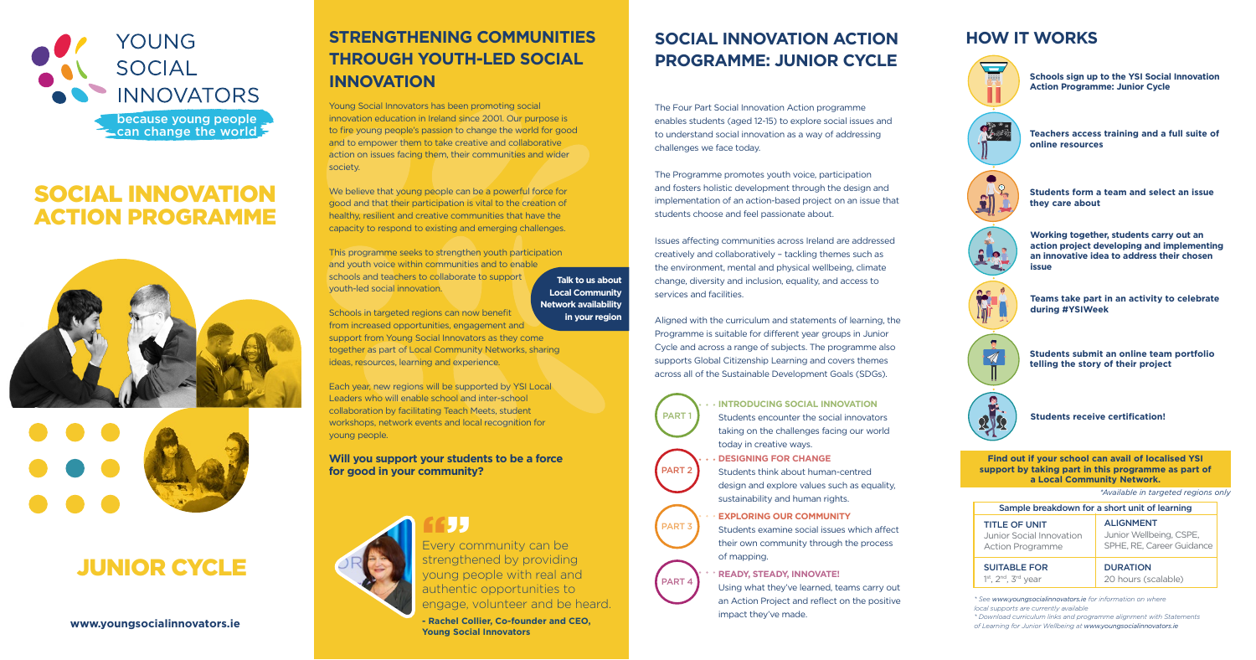Young Social Innovators has been promoting social innovation education in Ireland since 2001. Our purpose is to fire young people's passion to change the world for good and to empower them to take creative and collaborative action on issues facing them, their communities and wider society.

We believe that young people can be a powerful force for good and that their participation is vital to the creation of healthy, resilient and creative communities that have the capacity to respond to existing and emerging challenges.

Schools in targeted regions can now benefit from increased opportunities, engagement and support from Young Social Innovators as they come

together as part of Local Community Networks, sharing ideas, resources, learning and experience.

Each year, new regions will be supported by YSI Local Leaders who will enable school and inter-school collaboration by facilitating Teach Meets, student workshops, network events and local recognition for young people.

**Will you support your students to be a force for good in your community?**



# **STRENGTHENING COMMUNITIES THROUGH YOUTH-LED SOCIAL INNOVATION**

The Four Part Social Innovation Action programme enables students (aged 12-15) to explore social issues and to understand social innovation as a way of addressing challenges we face today.

The Programme promotes youth voice, participation and fosters holistic development through the design and implementation of an action-based project on an issue that students choose and feel passionate about.

ffJJ<br>Every community can be strengthened by providing young people with real and authentic opportunities to engage, volunteer and be heard. Issues affecting communities across Ireland are addressed creatively and collaboratively – tackling themes such as the environment, mental and physical wellbeing, climate change, diversity and inclusion, equality, and access to services and facilities.

Aligned with the curriculum and statements of learning, the Programme is suitable for different year groups in Junior Cycle and across a range of subjects. The programme also supports Global Citizenship Learning and covers themes across all of the Sustainable Development Goals (SDGs).

This programme seeks to strengthen youth participation and youth voice within communities and to enable schools and teachers to collaborate to support youth-led social innovation. **Talk to us about Local Community** 

# **SOCIAL INNOVATION ACTION PROGRAMME: JUNIOR CYCLE**

## **HOW IT WORKS**

**INTRODUCING SOCIAL INNOVATION** Students encounter the social innovators taking on the challenges facing our world today in creative ways.

**DESIGNING FOR CHANGE** Students think about human-centred design and explore values such as equality, sustainability and human rights.

**EXPLORING OUR COMMUNITY**  Students examine social issues which affect their own community through the process of mapping.

**READY, STEADY, INNOVATE!** Using what they've learned, teams carry out an Action Project and reflect on the positive impact they've made.

PART 1

PART 2

PART 3

PART 4



**- Rachel Collier, Co-founder and CEO, Young Social Innovators**

*local supports are currently available*

*\* Download curriculum links and programme alignment with Statements* 

*of Learning for Junior Wellbeing at www.youngsocialinnovators.ie*



**www.youngsocialinnovators.ie**

# SOCIAL INNOVATION ACTION PROGRAMME





# JUNIOR CYCLE

**Network availability in your region**